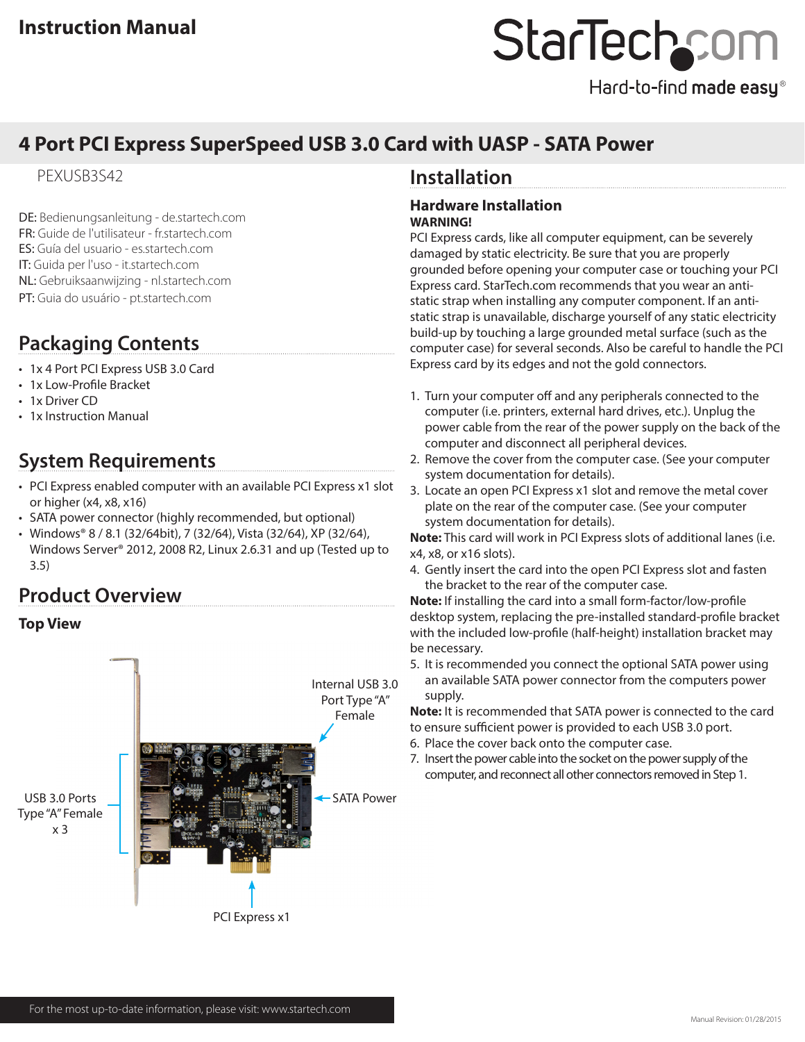# StarTechcor

Hard-to-find made easy®

# **4 Port PCI Express SuperSpeed USB 3.0 Card with UASP - SATA Power**

## PEXUSB3S42

DE: Bedienungsanleitung - de.startech.com FR: Guide de l'utilisateur - fr.startech.com ES: Guía del usuario - es.startech.com IT: Guida per l'uso - it.startech.com NL: Gebruiksaanwijzing - nl.startech.com PT: Guia do usuário - pt.startech.com

# **Packaging Contents**

- 1x 4 Port PCI Express USB 3.0 Card
- 1x Low-Profile Bracket
- 1x Driver CD
- 1x Instruction Manual

# **System Requirements**

- PCI Express enabled computer with an available PCI Express x1 slot or higher (x4, x8, x16)
- SATA power connector (highly recommended, but optional)
- Windows® 8 / 8.1 (32/64bit), 7 (32/64), Vista (32/64), XP (32/64), Windows Server® 2012, 2008 R2, Linux 2.6.31 and up (Tested up to 3.5)

## **Product Overview**

## **Top View**



## **Installation**

### **Hardware Installation WARNING!**

PCI Express cards, like all computer equipment, can be severely damaged by static electricity. Be sure that you are properly grounded before opening your computer case or touching your PCI Express card. StarTech.com recommends that you wear an antistatic strap when installing any computer component. If an antistatic strap is unavailable, discharge yourself of any static electricity build-up by touching a large grounded metal surface (such as the computer case) for several seconds. Also be careful to handle the PCI Express card by its edges and not the gold connectors.

- 1. Turn your computer off and any peripherals connected to the computer (i.e. printers, external hard drives, etc.). Unplug the power cable from the rear of the power supply on the back of the computer and disconnect all peripheral devices.
- 2. Remove the cover from the computer case. (See your computer system documentation for details).
- 3. Locate an open PCI Express x1 slot and remove the metal cover plate on the rear of the computer case. (See your computer system documentation for details).

**Note:** This card will work in PCI Express slots of additional lanes (i.e. x4, x8, or x16 slots).

4. Gently insert the card into the open PCI Express slot and fasten the bracket to the rear of the computer case.

**Note:** If installing the card into a small form-factor/low-profile desktop system, replacing the pre-installed standard-profile bracket with the included low-profile (half-height) installation bracket may be necessary.

5. It is recommended you connect the optional SATA power using an available SATA power connector from the computers power supply.

**Note:** It is recommended that SATA power is connected to the card to ensure sufficient power is provided to each USB 3.0 port.

- 6. Place the cover back onto the computer case.
- 7. Insert the power cable into the socket on the power supply of the computer, and reconnect all other connectors removed in Step 1.